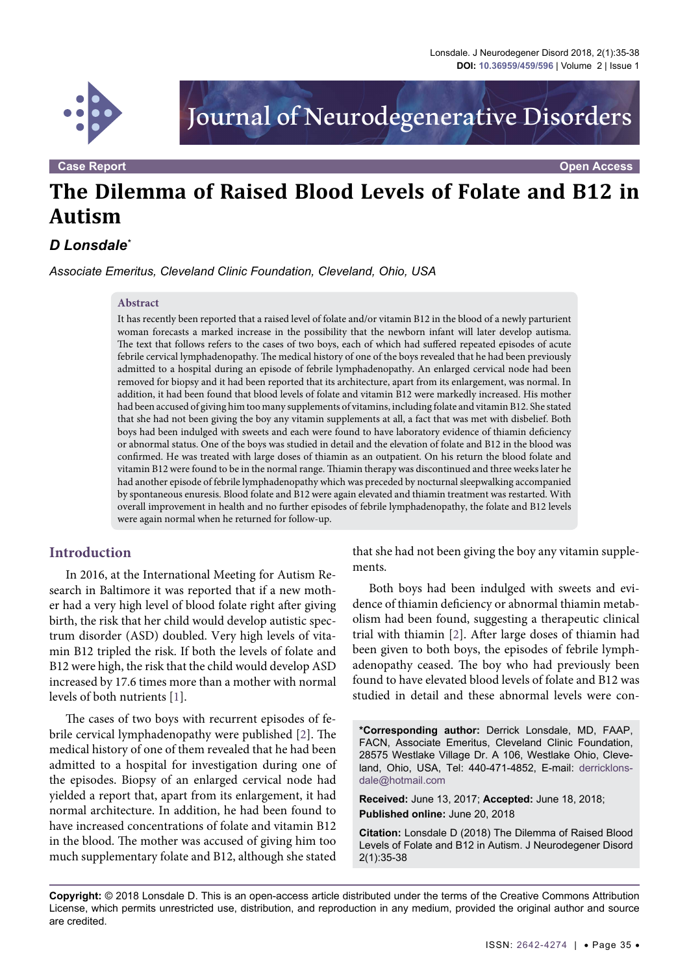

Journal of Neurodegenerative Disorders

**Case Report Open Access**

# **The Dilemma of Raised Blood Levels of Folate and B12 in Autism**

# *D Lonsdale\**

*Associate Emeritus, Cleveland Clinic Foundation, Cleveland, Ohio, USA*

#### **Abstract**

It has recently been reported that a raised level of folate and/or vitamin B12 in the blood of a newly parturient woman forecasts a marked increase in the possibility that the newborn infant will later develop autisma. The text that follows refers to the cases of two boys, each of which had suffered repeated episodes of acute febrile cervical lymphadenopathy. The medical history of one of the boys revealed that he had been previously admitted to a hospital during an episode of febrile lymphadenopathy. An enlarged cervical node had been removed for biopsy and it had been reported that its architecture, apart from its enlargement, was normal. In addition, it had been found that blood levels of folate and vitamin B12 were markedly increased. His mother had been accused of giving him too many supplements of vitamins, including folate and vitamin B12. She stated that she had not been giving the boy any vitamin supplements at all, a fact that was met with disbelief. Both boys had been indulged with sweets and each were found to have laboratory evidence of thiamin deficiency or abnormal status. One of the boys was studied in detail and the elevation of folate and B12 in the blood was confirmed. He was treated with large doses of thiamin as an outpatient. On his return the blood folate and vitamin B12 were found to be in the normal range. Thiamin therapy was discontinued and three weeks later he had another episode of febrile lymphadenopathy which was preceded by nocturnal sleepwalking accompanied by spontaneous enuresis. Blood folate and B12 were again elevated and thiamin treatment was restarted. With overall improvement in health and no further episodes of febrile lymphadenopathy, the folate and B12 levels were again normal when he returned for follow-up.

#### **Introduction**

In 2016, at the International Meeting for Autism Research in Baltimore it was reported that if a new mother had a very high level of blood folate right after giving birth, the risk that her child would develop autistic spectrum disorder (ASD) doubled. Very high levels of vitamin B12 tripled the risk. If both the levels of folate and B12 were high, the risk that the child would develop ASD increased by 17.6 times more than a mother with normal levels of both nutrients [[1](#page-2-0)].

The cases of two boys with recurrent episodes of febrile cervical lymphadenopathy were published [[2\]](#page-2-1). The medical history of one of them revealed that he had been admitted to a hospital for investigation during one of the episodes. Biopsy of an enlarged cervical node had yielded a report that, apart from its enlargement, it had normal architecture. In addition, he had been found to have increased concentrations of folate and vitamin B12 in the blood. The mother was accused of giving him too much supplementary folate and B12, although she stated

that she had not been giving the boy any vitamin supplements.

Both boys had been indulged with sweets and evidence of thiamin deficiency or abnormal thiamin metabolism had been found, suggesting a therapeutic clinical trial with thiamin [[2\]](#page-2-1). After large doses of thiamin had been given to both boys, the episodes of febrile lymphadenopathy ceased. The boy who had previously been found to have elevated blood levels of folate and B12 was studied in detail and these abnormal levels were con-

**\*Corresponding author:** Derrick Lonsdale, MD, FAAP, FACN, Associate Emeritus, Cleveland Clinic Foundation, 28575 Westlake Village Dr. A 106, Westlake Ohio, Cleveland, Ohio, USA, Tel: 440-471-4852, E-mail: [derricklons](mailto:derricklonsdale@hotmail.com)[dale@hotmail.com](mailto:derricklonsdale@hotmail.com)

**Received:** June 13, 2017; **Accepted:** June 18, 2018; **Published online:** June 20, 2018

**Citation:** Lonsdale D (2018) The Dilemma of Raised Blood Levels of Folate and B12 in Autism. J Neurodegener Disord 2(1):35-38

**Copyright:** © 2018 Lonsdale D. This is an open-access article distributed under the terms of the Creative Commons Attribution License, which permits unrestricted use, distribution, and reproduction in any medium, provided the original author and source are credited.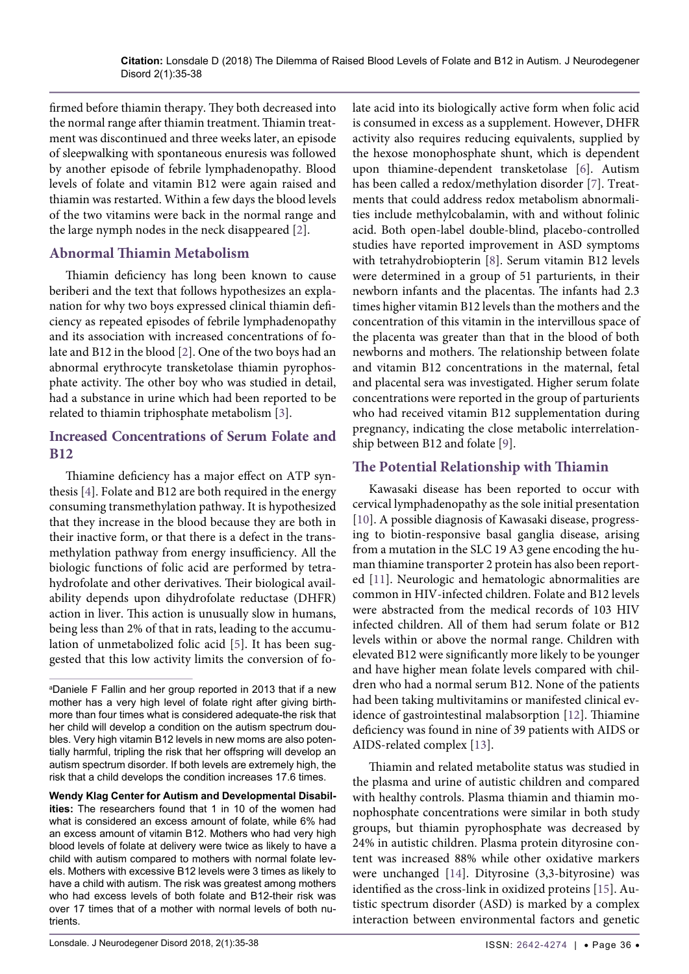firmed before thiamin therapy. They both decreased into the normal range after thiamin treatment. Thiamin treatment was discontinued and three weeks later, an episode of sleepwalking with spontaneous enuresis was followed by another episode of febrile lymphadenopathy. Blood levels of folate and vitamin B12 were again raised and thiamin was restarted. Within a few days the blood levels of the two vitamins were back in the normal range and the large nymph nodes in the neck disappeared [\[2\]](#page-2-1).

#### **Abnormal Thiamin Metabolism**

Thiamin deficiency has long been known to cause beriberi and the text that follows hypothesizes an explanation for why two boys expressed clinical thiamin deficiency as repeated episodes of febrile lymphadenopathy and its association with increased concentrations of folate and B12 in the blood [\[2\]](#page-2-1). One of the two boys had an abnormal erythrocyte transketolase thiamin pyrophosphate activity. The other boy who was studied in detail, had a substance in urine which had been reported to be related to thiamin triphosphate metabolism [[3](#page-2-9)].

#### **Increased Concentrations of Serum Folate and B12**

Thiamine deficiency has a major effect on ATP synthesis [[4\]](#page-2-10). Folate and B12 are both required in the energy consuming transmethylation pathway. It is hypothesized that they increase in the blood because they are both in their inactive form, or that there is a defect in the transmethylation pathway from energy insufficiency. All the biologic functions of folic acid are performed by tetrahydrofolate and other derivatives. Their biological availability depends upon dihydrofolate reductase (DHFR) action in liver. This action is unusually slow in humans, being less than 2% of that in rats, leading to the accumulation of unmetabolized folic acid [\[5\]](#page-2-11). It has been suggested that this low activity limits the conversion of fo-

**Wendy Klag Center for Autism and Developmental Disabilities:** The researchers found that 1 in 10 of the women had what is considered an excess amount of folate, while 6% had an excess amount of vitamin B12. Mothers who had very high blood levels of folate at delivery were twice as likely to have a child with autism compared to mothers with normal folate levels. Mothers with excessive B12 levels were 3 times as likely to have a child with autism. The risk was greatest among mothers who had excess levels of both folate and B12-their risk was over 17 times that of a mother with normal levels of both nutrients.

late acid into its biologically active form when folic acid is consumed in excess as a supplement. However, DHFR activity also requires reducing equivalents, supplied by the hexose monophosphate shunt, which is dependent upon thiamine-dependent transketolase [\[6\]](#page-2-2). Autism has been called a redox/methylation disorder [[7](#page-2-3)]. Treatments that could address redox metabolism abnormalities include methylcobalamin, with and without folinic acid. Both open-label double-blind, placebo-controlled studies have reported improvement in ASD symptoms with tetrahydrobiopterin [[8](#page-2-4)]. Serum vitamin B12 levels were determined in a group of 51 parturients, in their newborn infants and the placentas. The infants had 2.3 times higher vitamin B12 levels than the mothers and the concentration of this vitamin in the intervillous space of the placenta was greater than that in the blood of both newborns and mothers. The relationship between folate and vitamin B12 concentrations in the maternal, fetal and placental sera was investigated. Higher serum folate concentrations were reported in the group of parturients who had received vitamin B12 supplementation during pregnancy, indicating the close metabolic interrelationship between B12 and folate [\[9\]](#page-2-5).

### **The Potential Relationship with Thiamin**

Kawasaki disease has been reported to occur with cervical lymphadenopathy as the sole initial presentation [[10](#page-2-6)]. A possible diagnosis of Kawasaki disease, progressing to biotin-responsive basal ganglia disease, arising from a mutation in the SLC 19 A3 gene encoding the human thiamine transporter 2 protein has also been reported [[11](#page-2-7)]. Neurologic and hematologic abnormalities are common in HIV-infected children. Folate and B12 levels were abstracted from the medical records of 103 HIV infected children. All of them had serum folate or B12 levels within or above the normal range. Children with elevated B12 were significantly more likely to be younger and have higher mean folate levels compared with children who had a normal serum B12. None of the patients had been taking multivitamins or manifested clinical evidence of gastrointestinal malabsorption [[12](#page-2-8)]. Thiamine deficiency was found in nine of 39 patients with AIDS or AIDS-related complex [[13\]](#page-3-0).

Thiamin and related metabolite status was studied in the plasma and urine of autistic children and compared with healthy controls. Plasma thiamin and thiamin monophosphate concentrations were similar in both study groups, but thiamin pyrophosphate was decreased by 24% in autistic children. Plasma protein dityrosine content was increased 88% while other oxidative markers were unchanged [[14](#page-3-1)]. Dityrosine (3,3-bityrosine) was identified as the cross-link in oxidized proteins [\[15\]](#page-3-2). Autistic spectrum disorder (ASD) is marked by a complex interaction between environmental factors and genetic

a Daniele F Fallin and her group reported in 2013 that if a new mother has a very high level of folate right after giving birthmore than four times what is considered adequate-the risk that her child will develop a condition on the autism spectrum doubles. Very high vitamin B12 levels in new moms are also potentially harmful, tripling the risk that her offspring will develop an autism spectrum disorder. If both levels are extremely high, the risk that a child develops the condition increases 17.6 times.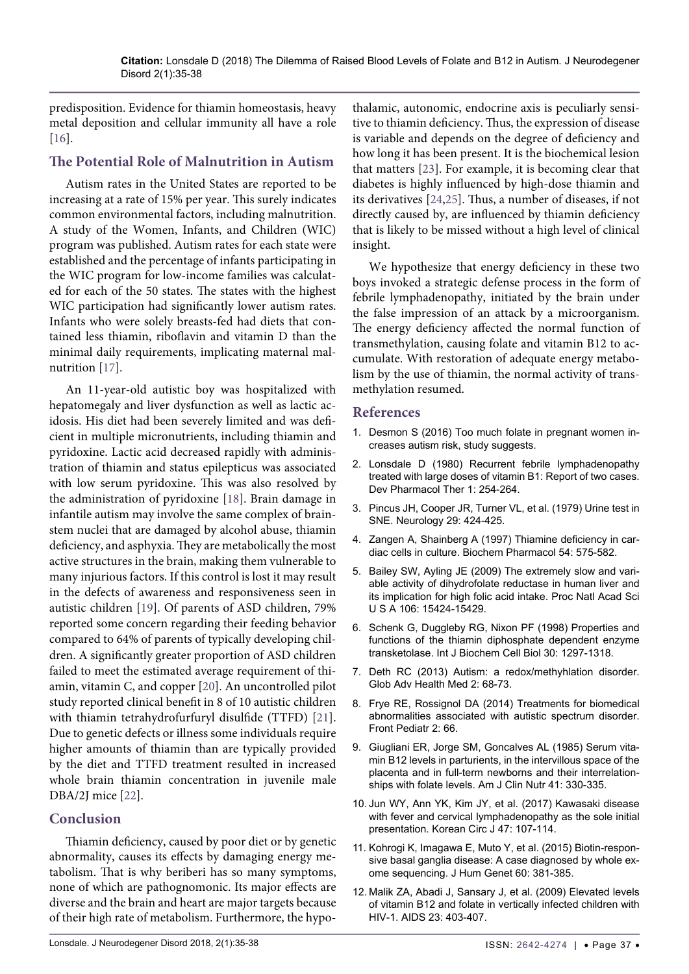predisposition. Evidence for thiamin homeostasis, heavy metal deposition and cellular immunity all have a role [\[16\]](#page-3-6).

#### **The Potential Role of Malnutrition in Autism**

Autism rates in the United States are reported to be increasing at a rate of 15% per year. This surely indicates common environmental factors, including malnutrition. A study of the Women, Infants, and Children (WIC) program was published. Autism rates for each state were established and the percentage of infants participating in the WIC program for low-income families was calculated for each of the 50 states. The states with the highest WIC participation had significantly lower autism rates. Infants who were solely breasts-fed had diets that contained less thiamin, riboflavin and vitamin D than the minimal daily requirements, implicating maternal malnutrition [[17\]](#page-3-7).

An 11-year-old autistic boy was hospitalized with hepatomegaly and liver dysfunction as well as lactic acidosis. His diet had been severely limited and was deficient in multiple micronutrients, including thiamin and pyridoxine. Lactic acid decreased rapidly with administration of thiamin and status epilepticus was associated with low serum pyridoxine. This was also resolved by the administration of pyridoxine [\[18\]](#page-3-8). Brain damage in infantile autism may involve the same complex of brainstem nuclei that are damaged by alcohol abuse, thiamin deficiency, and asphyxia. They are metabolically the most active structures in the brain, making them vulnerable to many injurious factors. If this control is lost it may result in the defects of awareness and responsiveness seen in autistic children [[19](#page-3-9)]. Of parents of ASD children, 79% reported some concern regarding their feeding behavior compared to 64% of parents of typically developing children. A significantly greater proportion of ASD children failed to meet the estimated average requirement of thiamin, vitamin C, and copper [\[20\]](#page-3-10). An uncontrolled pilot study reported clinical benefit in 8 of 10 autistic children with thiamin tetrahydrofurfuryl disulfide (TTFD) [[21](#page-3-11)]. Due to genetic defects or illness some individuals require higher amounts of thiamin than are typically provided by the diet and TTFD treatment resulted in increased whole brain thiamin concentration in juvenile male DBA/2J mice [\[22\]](#page-3-12).

## **Conclusion**

Thiamin deficiency, caused by poor diet or by genetic abnormality, causes its effects by damaging energy metabolism. That is why beriberi has so many symptoms, none of which are pathognomonic. Its major effects are diverse and the brain and heart are major targets because of their high rate of metabolism. Furthermore, the hypo-

thalamic, autonomic, endocrine axis is peculiarly sensitive to thiamin deficiency. Thus, the expression of disease is variable and depends on the degree of deficiency and how long it has been present. It is the biochemical lesion that matters [\[23\]](#page-3-3). For example, it is becoming clear that diabetes is highly influenced by high-dose thiamin and its derivatives [[24](#page-3-4),[25](#page-3-5)]. Thus, a number of diseases, if not directly caused by, are influenced by thiamin deficiency that is likely to be missed without a high level of clinical insight.

We hypothesize that energy deficiency in these two boys invoked a strategic defense process in the form of febrile lymphadenopathy, initiated by the brain under the false impression of an attack by a microorganism. The energy deficiency affected the normal function of transmethylation, causing folate and vitamin B12 to accumulate. With restoration of adequate energy metabolism by the use of thiamin, the normal activity of transmethylation resumed.

#### **References**

- <span id="page-2-0"></span>1. [Desmon S \(2016\) Too much folate in pregnant women in](https://www.jhsph.edu/news/news-releases/2016/too-much-folate-in-pregnant-women-increases-risk-for-autism-study-suggests.html)[creases autism risk, study suggests.](https://www.jhsph.edu/news/news-releases/2016/too-much-folate-in-pregnant-women-increases-risk-for-autism-study-suggests.html)
- <span id="page-2-1"></span>2. [Lonsdale D \(1980\) Recurrent febrile lymphadenopathy](https://www.ncbi.nlm.nih.gov/pubmed/7438971)  [treated with large doses of vitamin B1: Report of two cases.](https://www.ncbi.nlm.nih.gov/pubmed/7438971)  [Dev Pharmacol Ther 1: 254-264.](https://www.ncbi.nlm.nih.gov/pubmed/7438971)
- <span id="page-2-9"></span>3. [Pincus JH, Cooper JR, Turner VL, et al. \(1979\) Urine test in](https://www.ncbi.nlm.nih.gov/pubmed/571998)  [SNE. Neurology 29: 424-425.](https://www.ncbi.nlm.nih.gov/pubmed/571998)
- <span id="page-2-10"></span>4. [Zangen A, Shainberg A \(1997\) Thiamine deficiency in car](https://www.ncbi.nlm.nih.gov/pubmed/9337073)[diac cells in culture. Biochem Pharmacol 54: 575-582.](https://www.ncbi.nlm.nih.gov/pubmed/9337073)
- <span id="page-2-11"></span>5. [Bailey SW, Ayling JE \(2009\) The extremely slow and vari](https://www.ncbi.nlm.nih.gov/pubmed/19706381)[able activity of dihydrofolate reductase in human liver and](https://www.ncbi.nlm.nih.gov/pubmed/19706381)  [its implication for high folic acid intake. Proc Natl Acad Sci](https://www.ncbi.nlm.nih.gov/pubmed/19706381)  [U S A 106: 15424-15429.](https://www.ncbi.nlm.nih.gov/pubmed/19706381)
- <span id="page-2-2"></span>6. [Schenk G, Duggleby RG, Nixon PF \(1998\) Properties and](https://www.ncbi.nlm.nih.gov/pubmed/9924800)  [functions of the thiamin diphosphate dependent enzyme](https://www.ncbi.nlm.nih.gov/pubmed/9924800)  [transketolase. Int J Biochem Cell Biol 30: 1297-1318.](https://www.ncbi.nlm.nih.gov/pubmed/9924800)
- <span id="page-2-3"></span>7. [Deth RC \(2013\) Autism: a redox/methyhlation disorder.](https://www.ncbi.nlm.nih.gov/pubmed/24416710)  [Glob Adv Health Med 2: 68-73.](https://www.ncbi.nlm.nih.gov/pubmed/24416710)
- <span id="page-2-4"></span>8. [Frye RE, Rossignol DA \(2014\) Treatments for biomedical](https://www.ncbi.nlm.nih.gov/pubmed/25019065)  [abnormalities associated with autistic spectrum disorder.](https://www.ncbi.nlm.nih.gov/pubmed/25019065)  [Front Pediatr 2: 66.](https://www.ncbi.nlm.nih.gov/pubmed/25019065)
- <span id="page-2-5"></span>9. [Giugliani ER, Jorge SM, Goncalves AL \(1985\) Serum vita](https://www.ncbi.nlm.nih.gov/pubmed/3969940)[min B12 levels in parturients, in the intervillous space of the](https://www.ncbi.nlm.nih.gov/pubmed/3969940)  [placenta and in full-term newborns and their interrelation](https://www.ncbi.nlm.nih.gov/pubmed/3969940)[ships with folate levels. Am J Clin Nutr 41: 330-335.](https://www.ncbi.nlm.nih.gov/pubmed/3969940)
- <span id="page-2-6"></span>10. [Jun WY, Ann YK, Kim JY, et al. \(2017\) Kawasaki disease](https://www.ncbi.nlm.nih.gov/pmc/articles/PMC5287172/)  [with fever and cervical lymphadenopathy as the sole initial](https://www.ncbi.nlm.nih.gov/pmc/articles/PMC5287172/)  [presentation. Korean Circ J 47: 107-114.](https://www.ncbi.nlm.nih.gov/pmc/articles/PMC5287172/)
- <span id="page-2-7"></span>11. [Kohrogi K, Imagawa E, Muto Y, et al. \(2015\) Biotin-respon](https://www.ncbi.nlm.nih.gov/pubmed/25876998)[sive basal ganglia disease: A case diagnosed by whole ex](https://www.ncbi.nlm.nih.gov/pubmed/25876998)[ome sequencing. J Hum Genet 60: 381-385.](https://www.ncbi.nlm.nih.gov/pubmed/25876998)
- <span id="page-2-8"></span>12. [Malik ZA, Abadi J, Sansary J, et al. \(2009\) Elevated levels](https://www.ncbi.nlm.nih.gov/pubmed/19114857)  [of vitamin B12 and folate in vertically infected children with](https://www.ncbi.nlm.nih.gov/pubmed/19114857)  [HIV-1. AIDS 23: 403-407.](https://www.ncbi.nlm.nih.gov/pubmed/19114857)